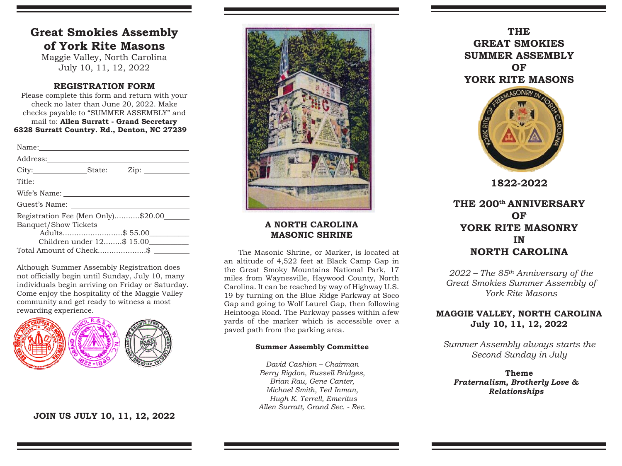# **Great Smokies Assembly of York Rite Masons**

Maggie Valley, North Carolina July 10, 11, 12, 2022

### **REGISTRATION FORM**

Please complete this form and return with your check no later than June 20, 2022. Make checks payable to "SUMMER ASSEMBLY" and mail to: **Allen Surratt - Grand Secretary 6328 Surratt Country. Rd., Denton, NC 27239**

| Address: 2008                          |  |                 |
|----------------------------------------|--|-----------------|
| City: State:                           |  | $\mathsf{Zip:}$ |
|                                        |  |                 |
|                                        |  |                 |
| Guest's Name:                          |  |                 |
| Registration Fee (Men Only)\$20.00____ |  |                 |
| <b>Banquet/Show Tickets</b>            |  |                 |
| Adults\$ 55.00                         |  |                 |
| Children under 12\$ 15.00              |  |                 |
| Total Amount of Check\$                |  |                 |

Although Summer Assembly Registration does not officially begin until Sunday, July 10, many individuals begin arriving on Friday or Saturday. Come enjoy the hospitality of the Maggie Valley community and get ready to witness a most rewarding experience.



## **JOIN US JULY 10, 11, 12, 2022**



### **A NORTH CAROLINA MASONIC SHRINE**

The Masonic Shrine, or Marker, is located at an altitude of 4,522 feet at Black Camp Gap in the Great Smoky Mountains National Park, 17 miles from Waynesville, Haywood County, North Carolina. It can be reached by way of Highway U.S. 19 by turning on the Blue Ridge Parkway at Soco Gap and going to Wolf Laurel Gap, then following Heintooga Road. The Parkway passes within a few yards of the marker which is accessible over a paved path from the parking area.

#### **Summer Assembly Committee**

*David Cashion – Chairman Berry Rigdon, Russell Bridges, Brian Rau, Gene Canter, Michael Smith, Ted Inman, Hugh K. Terrell, Emeritus Allen Surratt, Grand Sec. - Rec.*

**THE GREAT SMOKIESSUMMER ASSEMBLY OFYORK RITE MASONS**



**1822-2022**

## **THE 200th ANNIVERSARY OFYORK RITE MASONRY INNORTH CAROLINA**

*2022 – The 85th Anniversary of the Great Smokies Summer Assembly of York Rite Masons*

## **MAGGIE VALLEY, NORTH CAROLINA July 10, 11, 12, 2022**

*Summer Assembly always starts the Second Sunday in July*

**Theme***Fraternalism, Brotherly Love & Relationships*